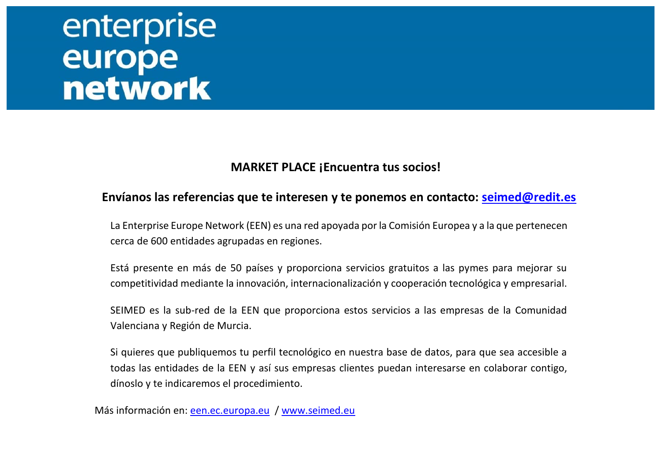# enterprise<br>
europe<br>
network

#### **MARKET PLACE ¡Encuentra tus socios!**

#### **Envíanos las referencias que te interesen y te ponemos en contacto: [seimed@redit.es](mailto:seimed@redit.es)**

La Enterprise Europe Network (EEN) es una red apoyada por la Comisión Europea y a la que pertenecen cerca de 600 entidades agrupadas en regiones.

Está presente en más de 50 países y proporciona servicios gratuitos a las pymes para mejorar su competitividad mediante la innovación, internacionalización y cooperación tecnológica y empresarial.

SEIMED es la sub-red de la EEN que proporciona estos servicios a las empresas de la Comunidad Valenciana y Región de Murcia.

Si quieres que publiquemos tu perfil tecnológico en nuestra base de datos, para que sea accesible a todas las entidades de la EEN y así sus empresas clientes puedan interesarse en colaborar contigo, dínoslo y te indicaremos el procedimiento.

Más información en: [een.ec.europa.eu](http://een.ec.europa.eu/) / [www.seimed.eu](http://www.seimed.eu/)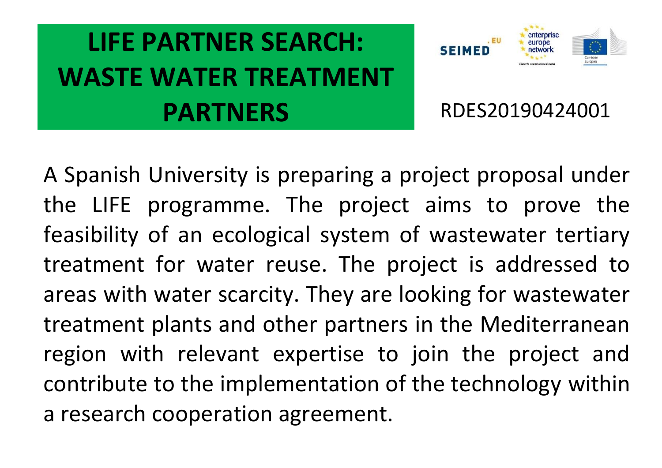### **LIFE PARTNER SEARCH: WASTE WATER TREATMENT PARTNERS** RDES20190424001



A Spanish University is preparing a project proposal under the LIFE programme. The project aims to prove the feasibility of an ecological system of wastewater tertiary treatment for water reuse. The project is addressed to areas with water scarcity. They are looking for wastewater treatment plants and other partners in the Mediterranean region with relevant expertise to join the project and contribute to the implementation of the technology within a research cooperation agreement.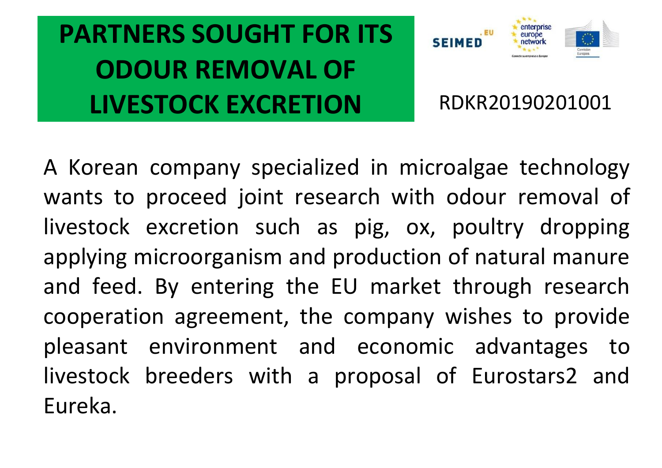# **PARTNERS SOUGHT FOR ITS ODOUR REMOVAL OF LIVESTOCK EXCRETION RDKR20190201001**



A Korean company specialized in microalgae technology wants to proceed joint research with odour removal of livestock excretion such as pig, ox, poultry dropping applying microorganism and production of natural manure and feed. By entering the EU market through research cooperation agreement, the company wishes to provide pleasant environment and economic advantages to livestock breeders with a proposal of Eurostars2 and Eureka.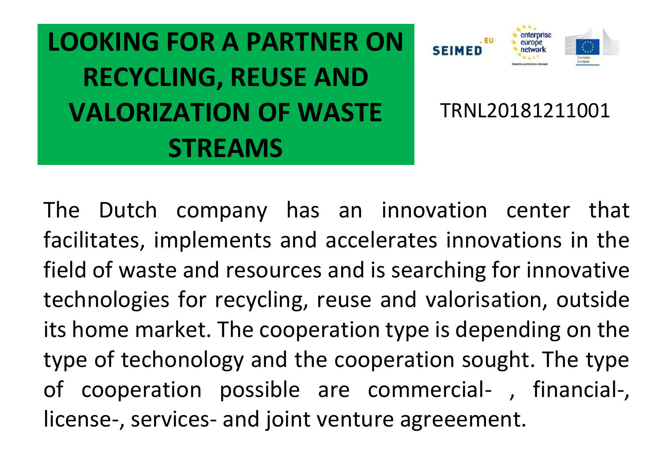**LOOKING FOR A PARTNER ON RECYCLING, REUSE AND VALORIZATION OF WASTE STREAMS**



TRNL20181211001

The Dutch company has an innovation center that facilitates, implements and accelerates innovations in the field of waste and resources and is searching for innovative technologies for recycling, reuse and valorisation, outside its home market. The cooperation type is depending on the type of techonology and the cooperation sought. The type of cooperation possible are commercial- , financial-, license-, services- and joint venture agreeement.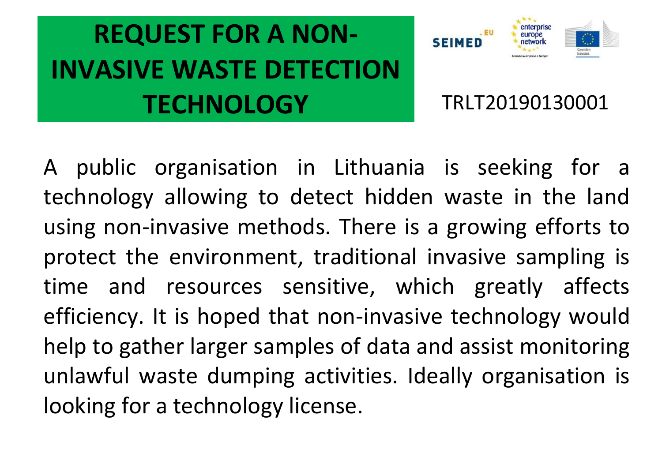# **REQUEST FOR A NON-INVASIVE WASTE DETECTION TECHNOLOGY** TRLT20190130001



A public organisation in Lithuania is seeking for a technology allowing to detect hidden waste in the land using non-invasive methods. There is a growing efforts to protect the environment, traditional invasive sampling is time and resources sensitive, which greatly affects efficiency. It is hoped that non-invasive technology would help to gather larger samples of data and assist monitoring unlawful waste dumping activities. Ideally organisation is looking for a technology license.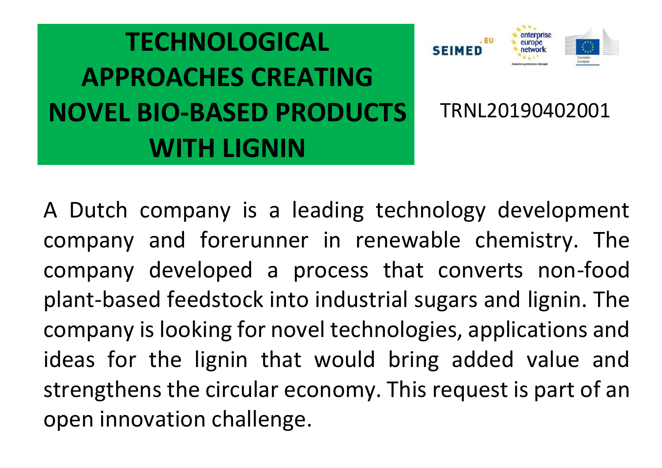



TRNL20190402001

A Dutch company is a leading technology development company and forerunner in renewable chemistry. The company developed a process that converts non-food plant-based feedstock into industrial sugars and lignin. The company is looking for novel technologies, applications and ideas for the lignin that would bring added value and strengthens the circular economy. This request is part of an open innovation challenge.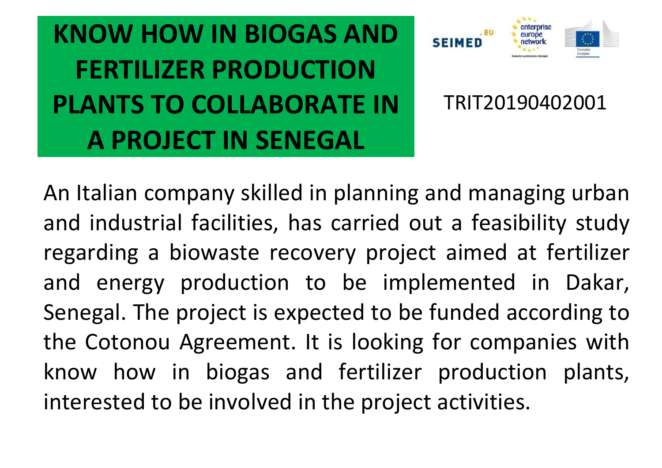**KNOW HOW IN BIOGAS AND FERTILIZER PRODUCTION PLANTS TO COLLABORATE IN A PROJECT IN SENEGAL**



TRIT20190402001

An Italian company skilled in planning and managing urban and industrial facilities, has carried out a feasibility study regarding a biowaste recovery project aimed at fertilizer and energy production to be implemented in Dakar, Senegal. The project is expected to be funded according to the Cotonou Agreement. It is looking for companies with know how in biogas and fertilizer production plants, interested to be involved in the project activities.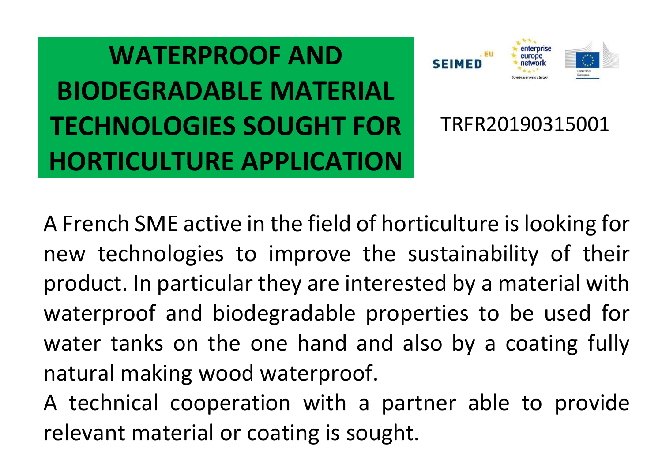**WATERPROOF AND BIODEGRADABLE MATERIAL TECHNOLOGIES SOUGHT FOR HORTICULTURE APPLICATION**



TRFR20190315001

A French SME active in the field of horticulture is looking for new technologies to improve the sustainability of their product. In particular they are interested by a material with waterproof and biodegradable properties to be used for water tanks on the one hand and also by a coating fully natural making wood waterproof.

A technical cooperation with a partner able to provide relevant material or coating is sought.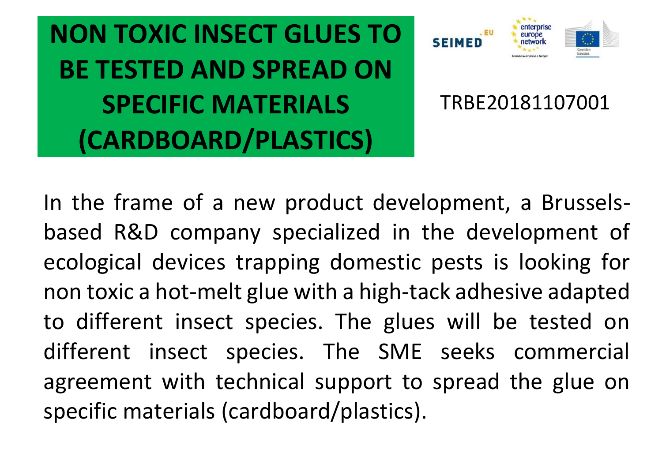**NON TOXIC INSECT GLUES TO BE TESTED AND SPREAD ON SPECIFIC MATERIALS (CARDBOARD/PLASTICS)**



#### TRBE20181107001

In the frame of a new product development, a Brusselsbased R&D company specialized in the development of ecological devices trapping domestic pests is looking for non toxic a hot-melt glue with a high-tack adhesive adapted to different insect species. The glues will be tested on different insect species. The SME seeks commercial agreement with technical support to spread the glue on specific materials (cardboard/plastics).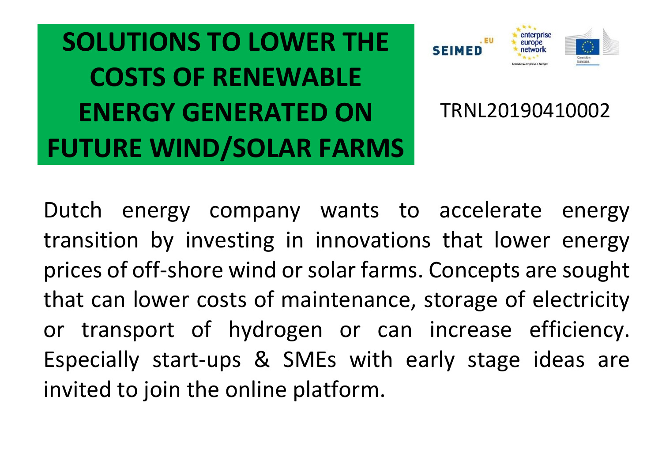**SOLUTIONS TO LOWER THE COSTS OF RENEWABLE ENERGY GENERATED ON FUTURE WIND/SOLAR FARMS**



TRNL20190410002

Dutch energy company wants to accelerate energy transition by investing in innovations that lower energy prices of off-shore wind or solar farms. Concepts are sought that can lower costs of maintenance, storage of electricity or transport of hydrogen or can increase efficiency. Especially start-ups & SMEs with early stage ideas are invited to join the online platform.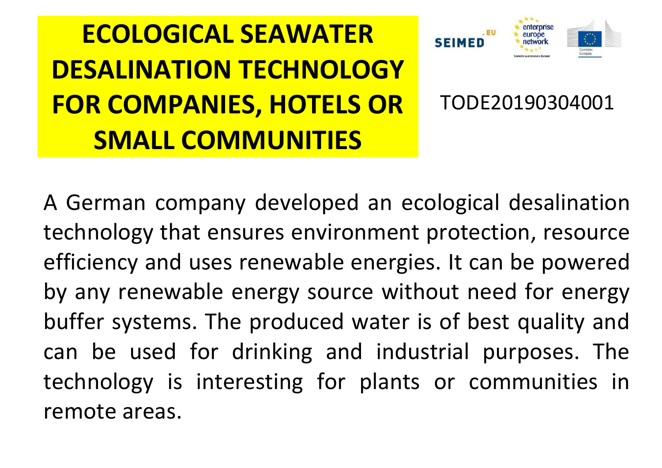# **ECOLOGICAL SEAWATER DESALINATION TECHNOLOGY FOR COMPANIES, HOTELS OR SMALL COMMUNITIES**



#### TODE20190304001

A German company developed an ecological desalination technology that ensures environment protection, resource efficiency and uses renewable energies. It can be powered by any renewable energy source without need for energy buffer systems. The produced water is of best quality and can be used for drinking and industrial purposes. The technology is interesting for plants or communities in remote areas.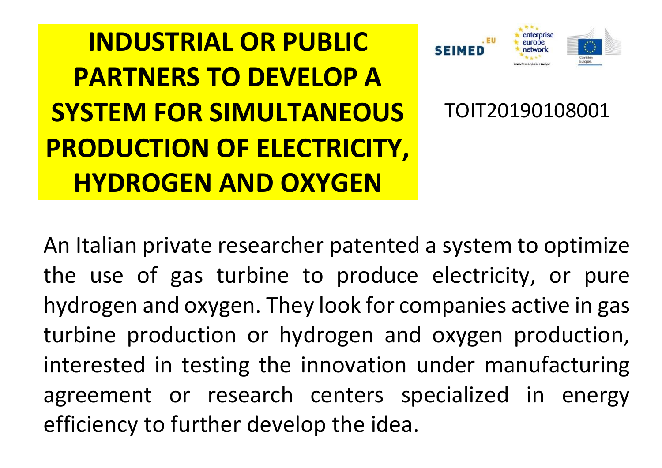**INDUSTRIAL OR PUBLIC PARTNERS TO DEVELOP A SYSTEM FOR SIMULTANEOUS PRODUCTION OF ELECTRICITY, HYDROGEN AND OXYGEN**



TOIT20190108001

An Italian private researcher patented a system to optimize the use of gas turbine to produce electricity, or pure hydrogen and oxygen. They look for companies active in gas turbine production or hydrogen and oxygen production, interested in testing the innovation under manufacturing agreement or research centers specialized in energy efficiency to further develop the idea.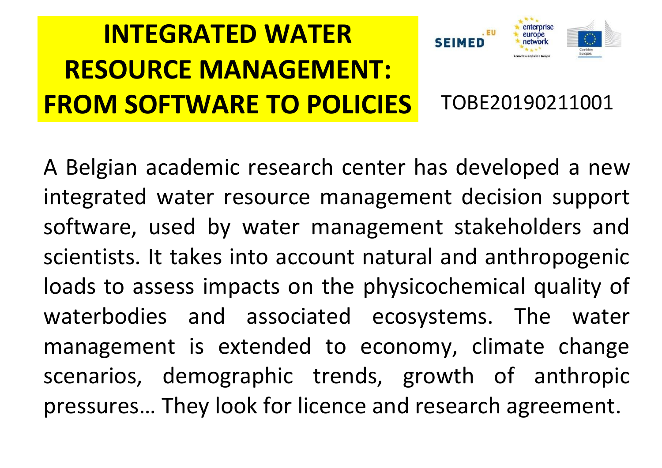# **INTEGRATED WATER RESOURCE MANAGEMENT: FROM SOFTWARE TO POLICIES** TOBE20190211001

A Belgian academic research center has developed a new integrated water resource management decision support software, used by water management stakeholders and scientists. It takes into account natural and anthropogenic loads to assess impacts on the physicochemical quality of waterbodies and associated ecosystems. The water management is extended to economy, climate change scenarios, demographic trends, growth of anthropic pressures… They look for licence and research agreement.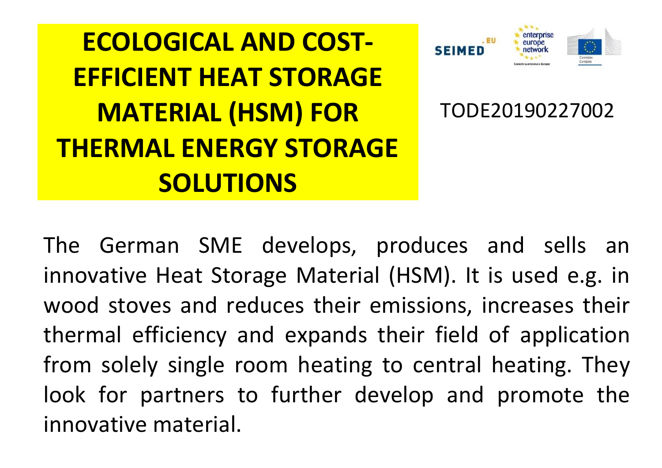**ECOLOGICAL AND COST-EFFICIENT HEAT STORAGE MATERIAL (HSM) FOR THERMAL ENERGY STORAGE SOLUTIONS** TODE20190227002

The German SME develops, produces and sells an innovative Heat Storage Material (HSM). It is used e.g. in wood stoves and reduces their emissions, increases their thermal efficiency and expands their field of application from solely single room heating to central heating. They look for partners to further develop and promote the innovative material.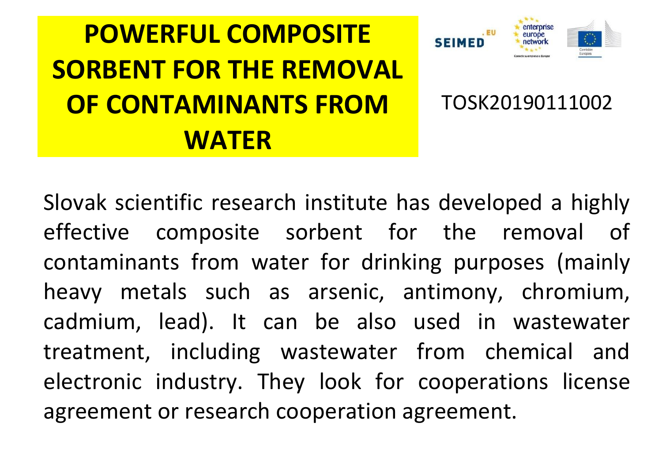#### **POWERFUL COMPOSITE SORBENT FOR THE REMOVAL OF CONTAMINANTS FROM WATER** TOSK20190111002

Slovak scientific research institute has developed a highly effective composite sorbent for the removal of contaminants from water for drinking purposes (mainly heavy metals such as arsenic, antimony, chromium, cadmium, lead). It can be also used in wastewater treatment, including wastewater from chemical and electronic industry. They look for cooperations license agreement or research cooperation agreement.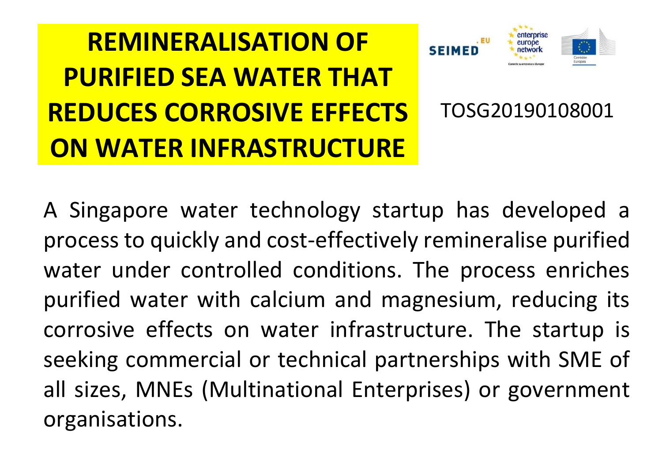#### **REMINERALISATION OF PURIFIED SEA WATER THAT REDUCES CORROSIVE EFFECTS ON WATER INFRASTRUCTURE** TOSG20190108001

A Singapore water technology startup has developed a process to quickly and cost-effectively remineralise purified water under controlled conditions. The process enriches purified water with calcium and magnesium, reducing its corrosive effects on water infrastructure. The startup is seeking commercial or technical partnerships with SME of all sizes, MNEs (Multinational Enterprises) or government organisations.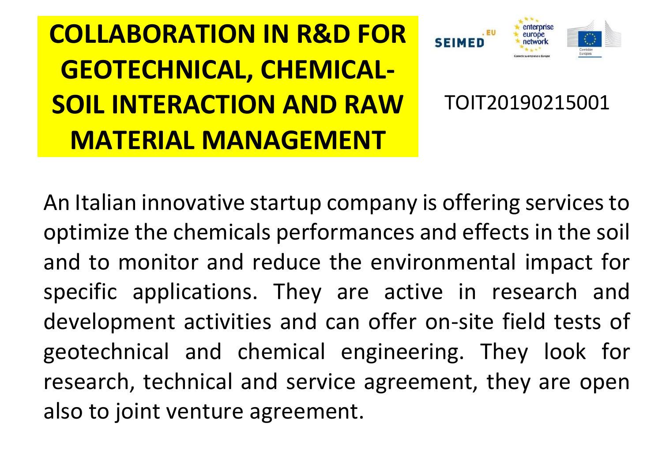**COLLABORATION IN R&D FOR GEOTECHNICAL, CHEMICAL-SOIL INTERACTION AND RAW MATERIAL MANAGEMENT**



TOIT20190215001

An Italian innovative startup company is offering services to optimize the chemicals performances and effects in the soil and to monitor and reduce the environmental impact for specific applications. They are active in research and development activities and can offer on-site field tests of geotechnical and chemical engineering. They look for research, technical and service agreement, they are open also to joint venture agreement.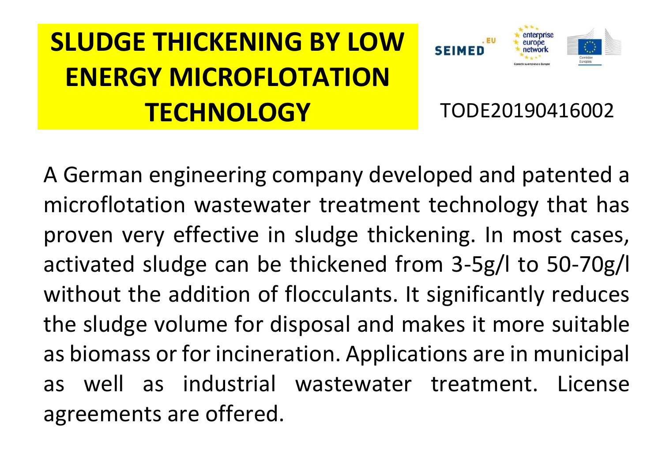# **SLUDGE THICKENING BY LOW ENERGY MICROFLOTATION TECHNOLOGY** TODE20190416002



A German engineering company developed and patented a microflotation wastewater treatment technology that has proven very effective in sludge thickening. In most cases, activated sludge can be thickened from 3-5g/l to 50-70g/l without the addition of flocculants. It significantly reduces the sludge volume for disposal and makes it more suitable as biomass or for incineration. Applications are in municipal as well as industrial wastewater treatment. License agreements are offered.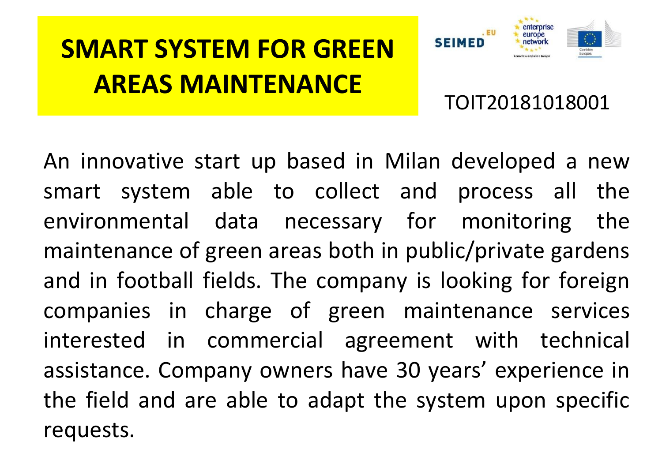#### **SMART SYSTEM FOR GREEN AREAS MAINTENANCE**

TOIT20181018001

An innovative start up based in Milan developed a new smart system able to collect and process all the environmental data necessary for monitoring the maintenance of green areas both in public/private gardens and in football fields. The company is looking for foreign companies in charge of green maintenance services interested in commercial agreement with technical assistance. Company owners have 30 years' experience in the field and are able to adapt the system upon specific requests.